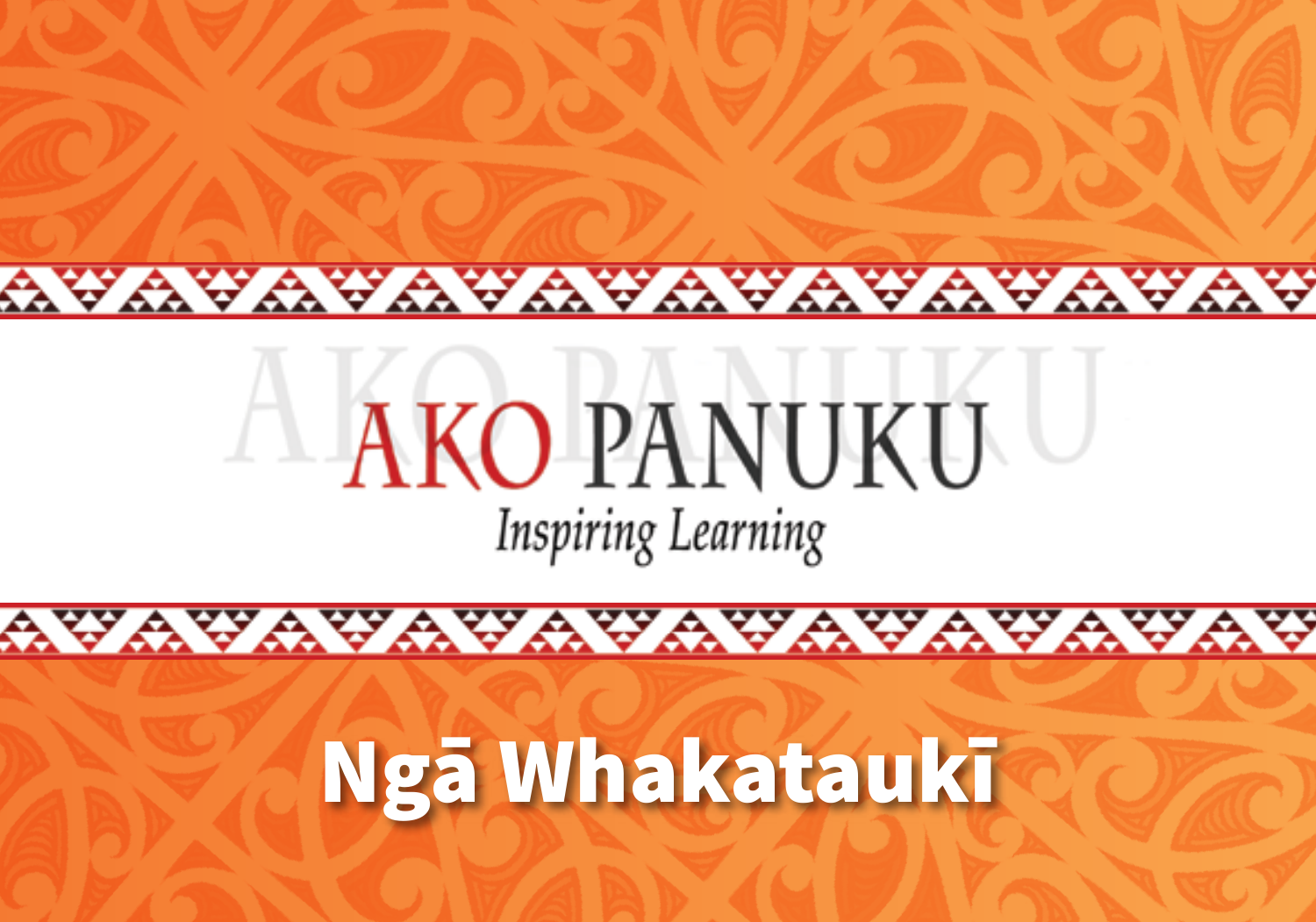#### AVAVAVAVAVAVAVAVAVA

#### **AKO PANUKU Inspiring Learning**

#### Ngā Whakataukī

AVAVAVAVAVAVAVAVAVAVA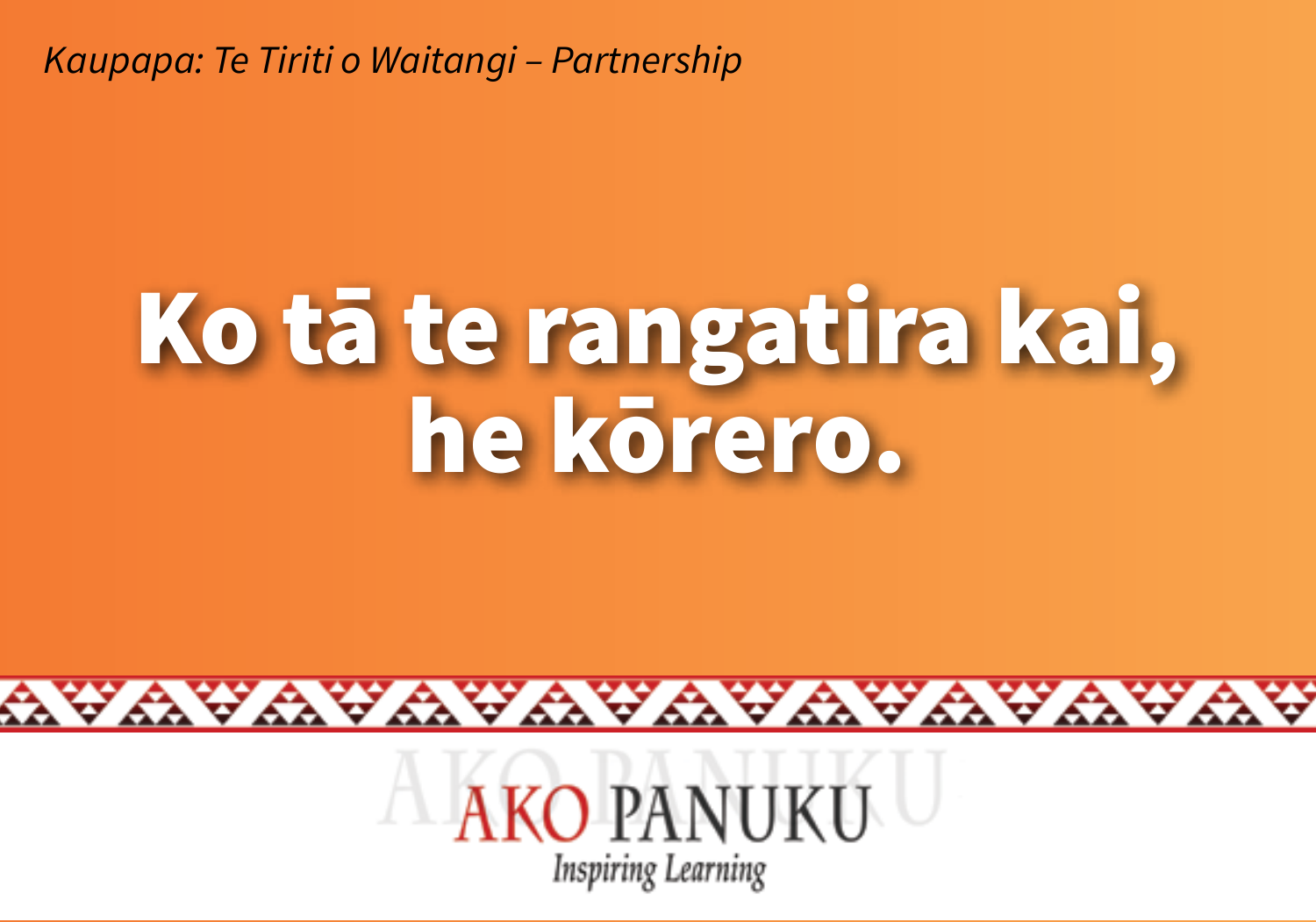#### Ko tā te rangatira kai, he körero.



wawawawawawawa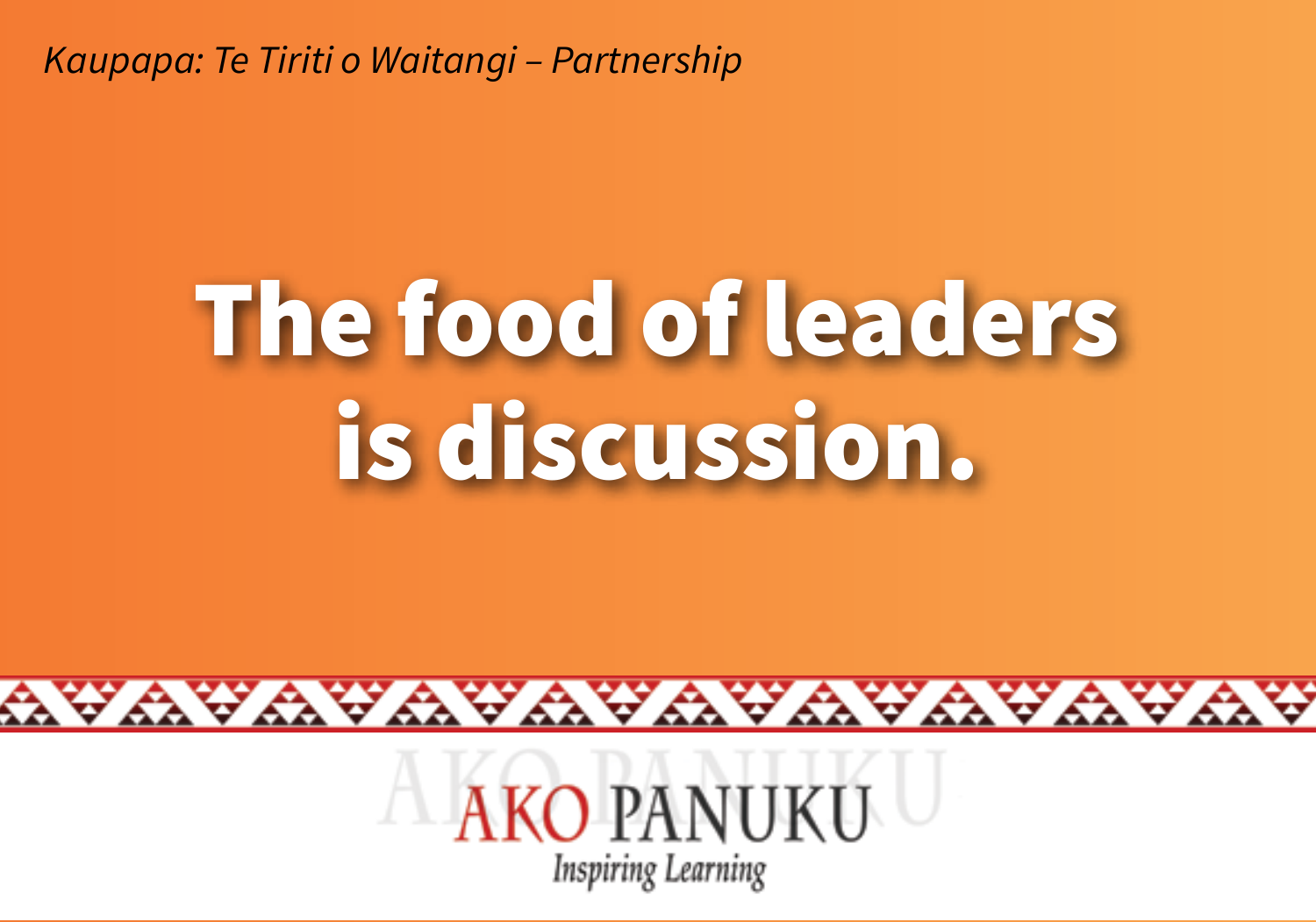## The food of leaders is discussion.



wawawawawawawa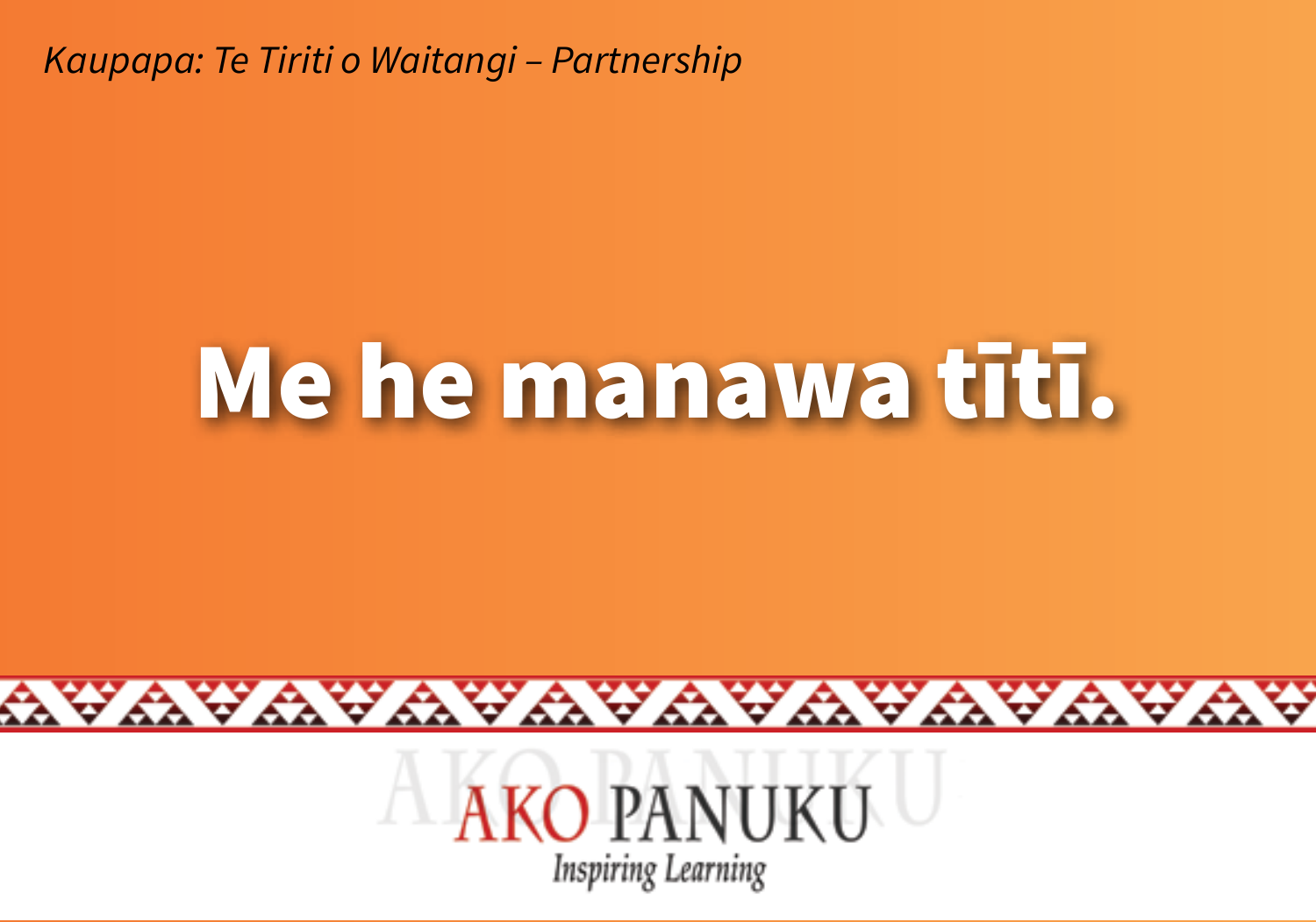#### Me he manawa tītī.



YAYAYAYAYAYAYAYAYAYA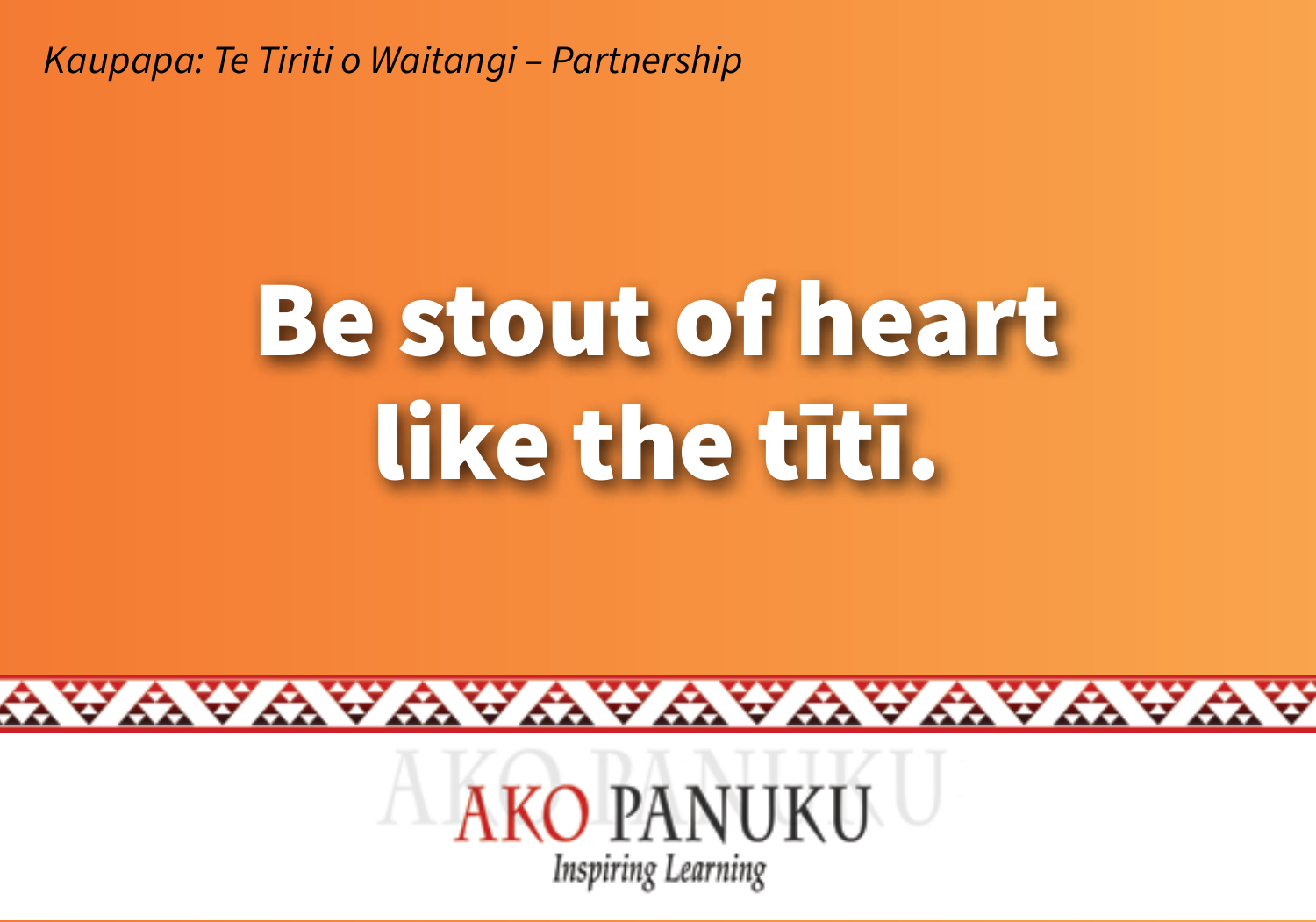### **Be stout of heart** like the titi.



wawawawawawawawa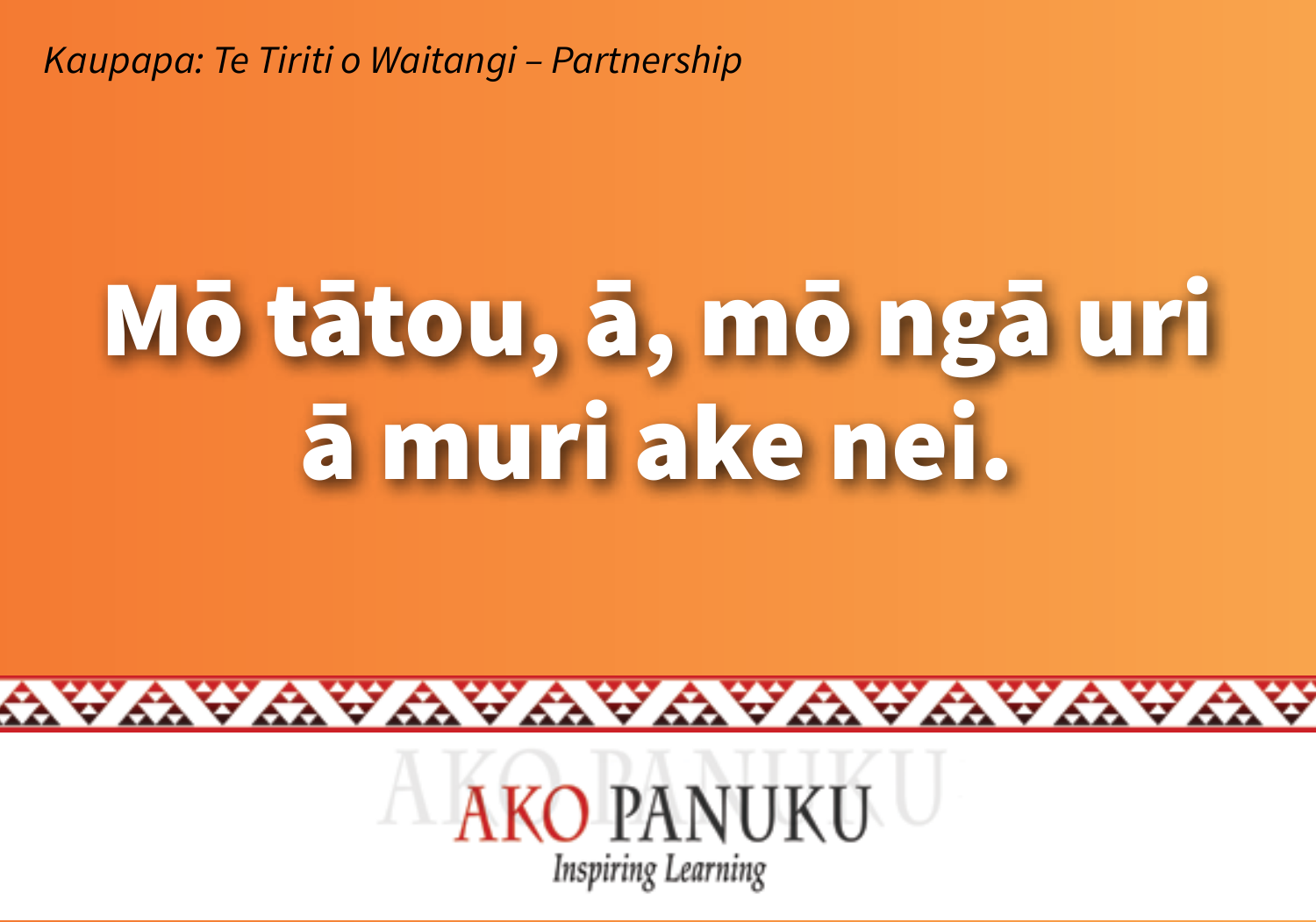# Mō tātou, ā, mō ngā uri ā muri ake nei.



YAYAYAYAYAYAYAYA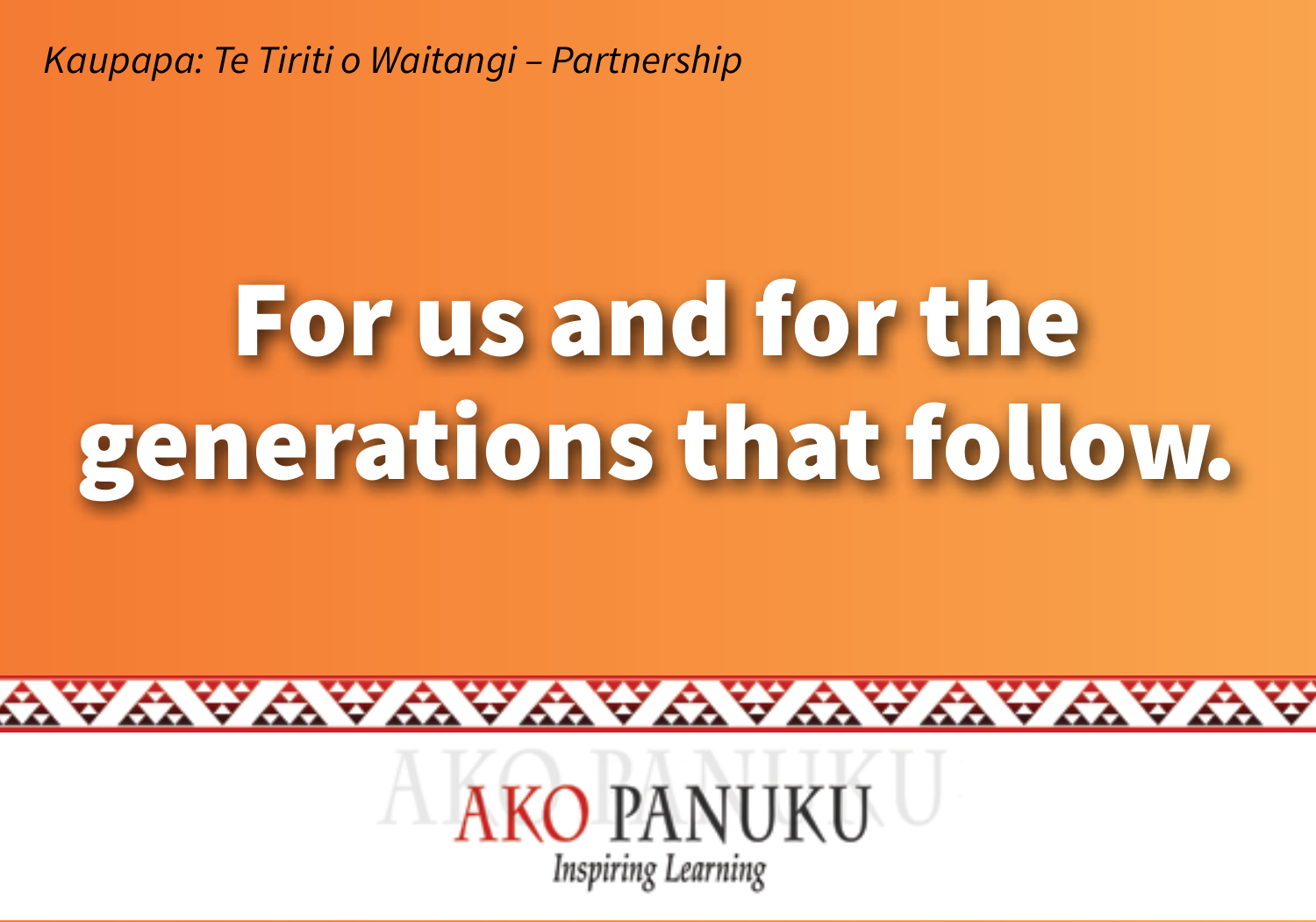# For us and for the generations that follow.



YAYAYAYAYAYAYAYA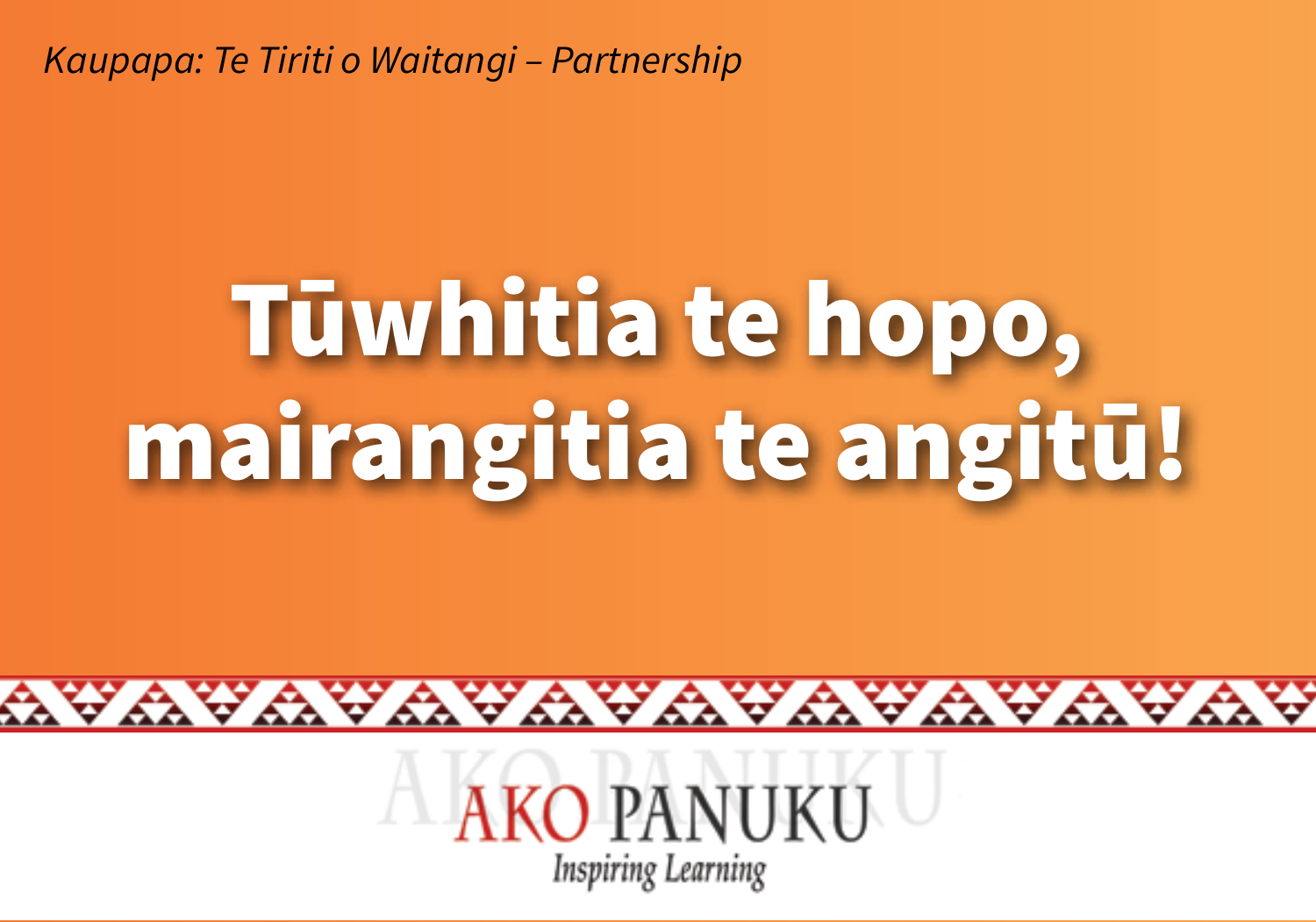# Tūwhitia te hopo, mairangitia te angitū!



wawawawawawawa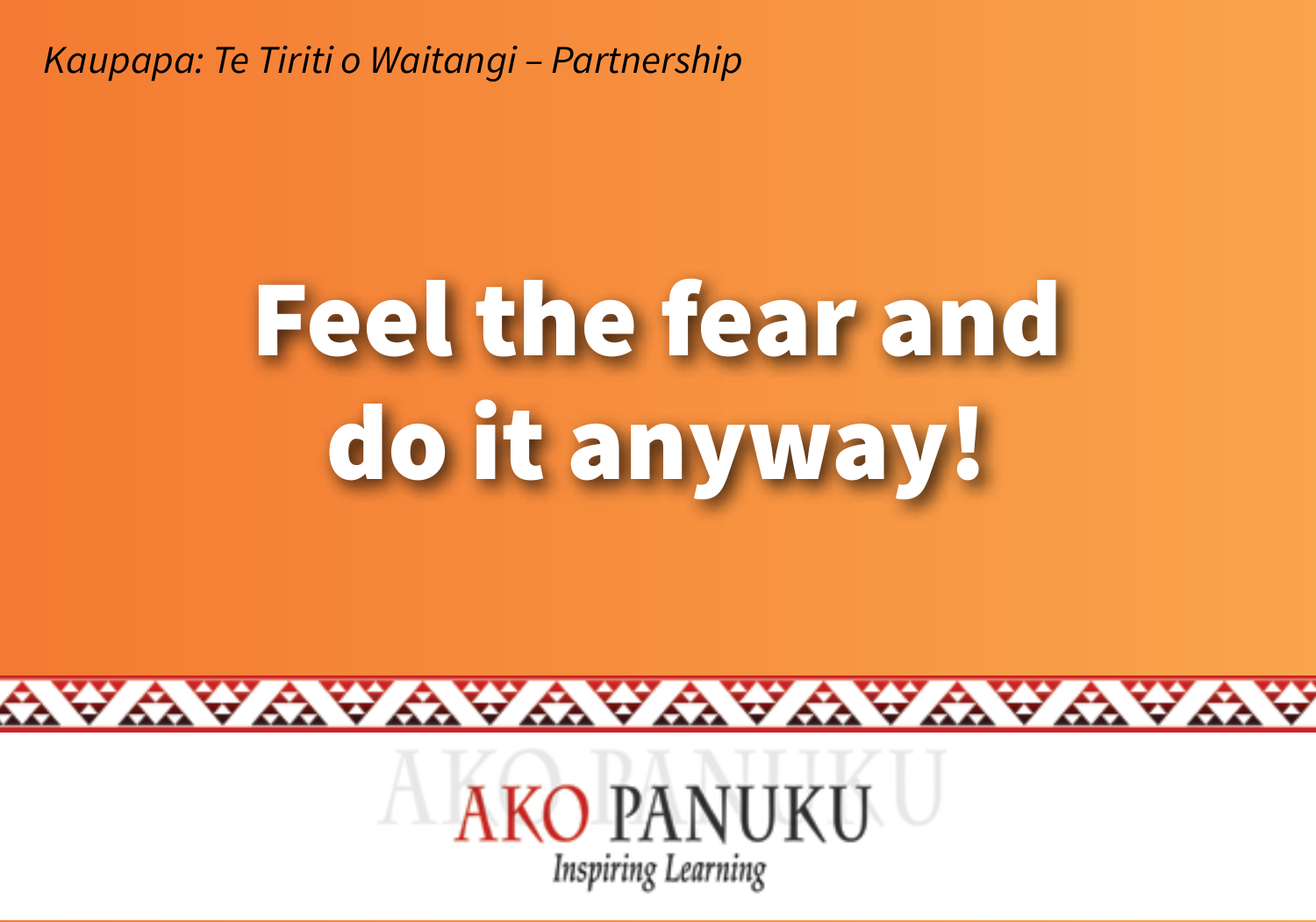# **Feel the fear and** do it anyway!

**KO PANUKU Inspiring Learning** 

YAYAYAYAYAYAYAYAYA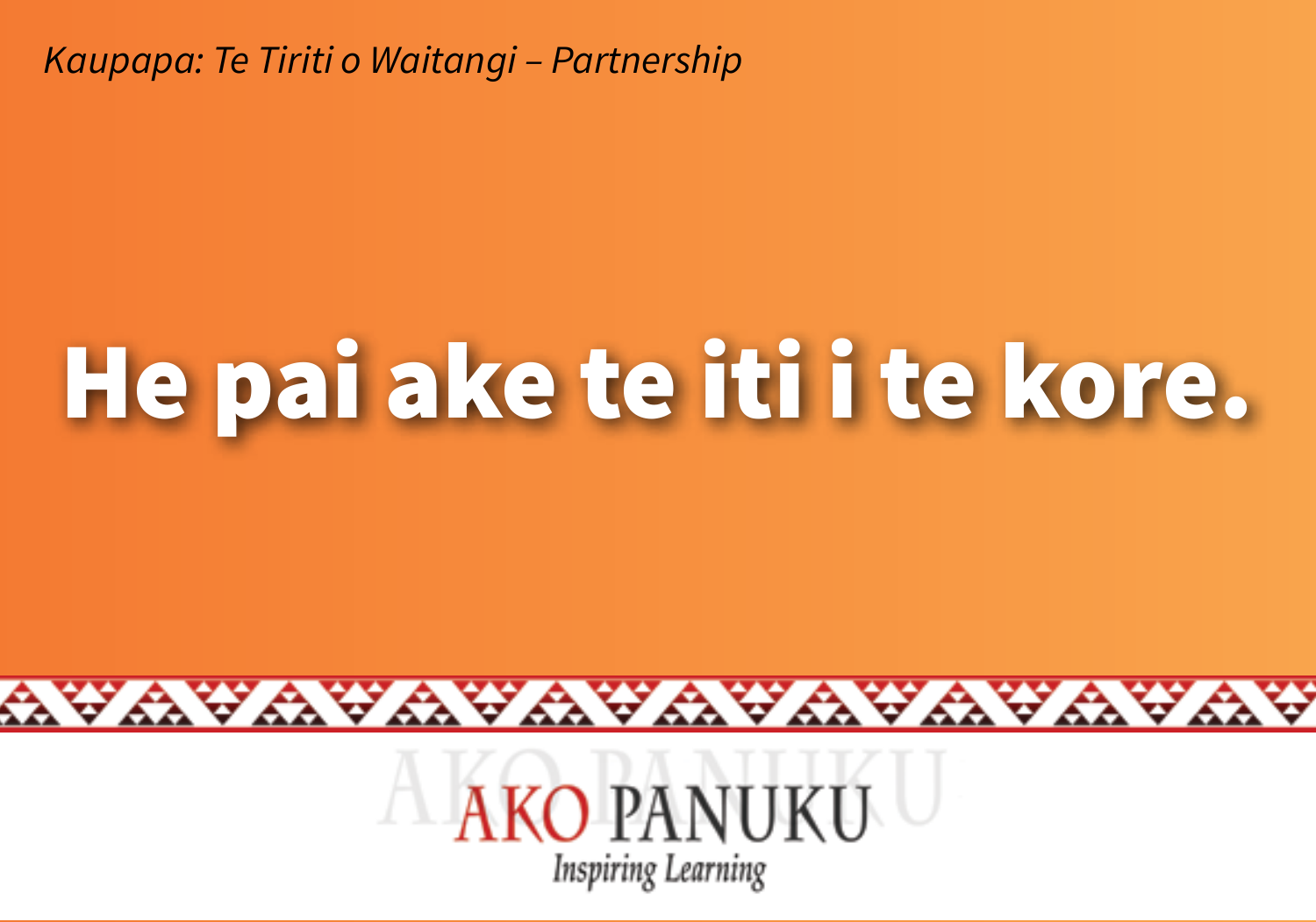## He pai ake te iti i te kore.



YAYAYAYAYAYAYAYA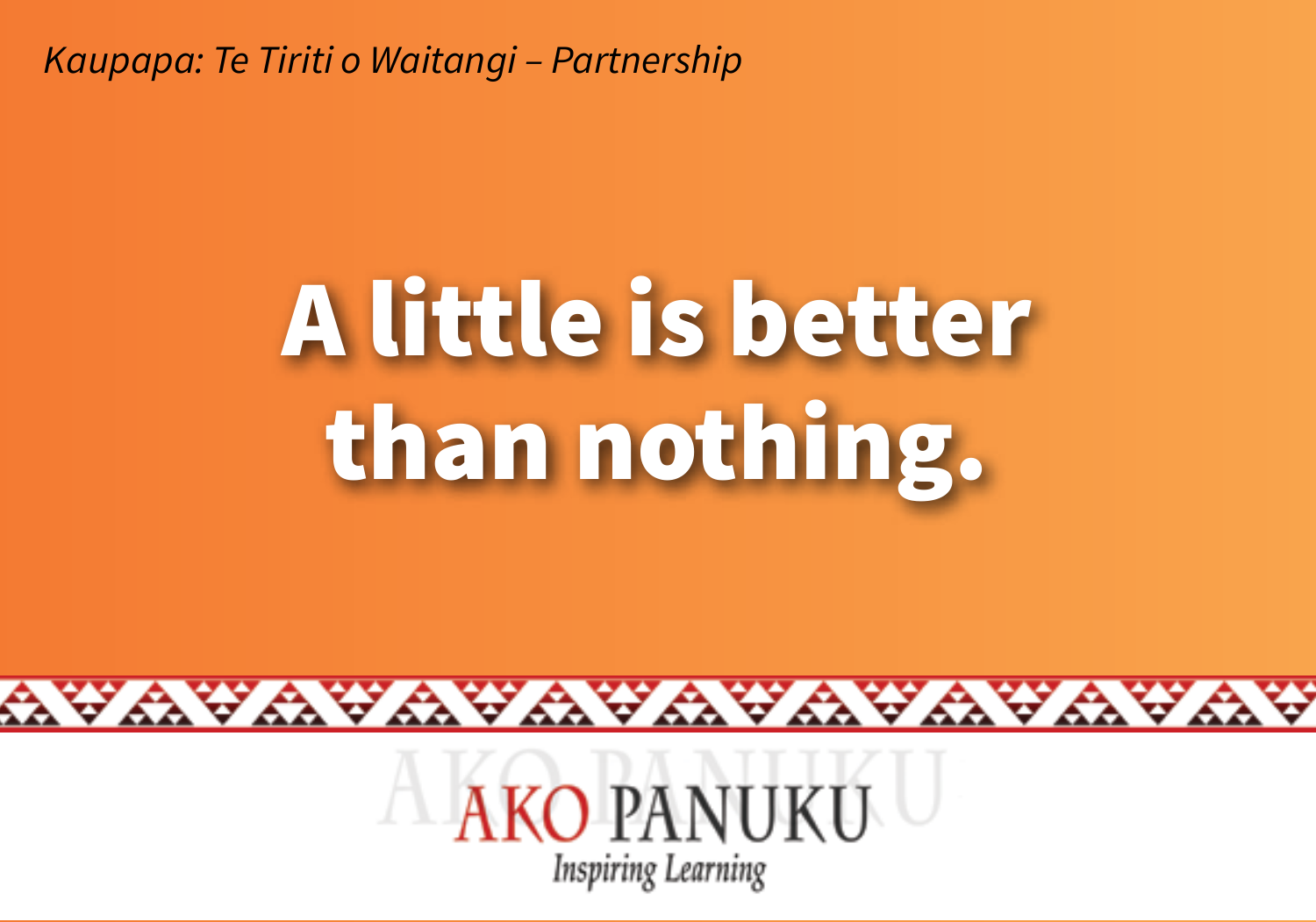# **A little is better** than nothing.



wawawawawawawawa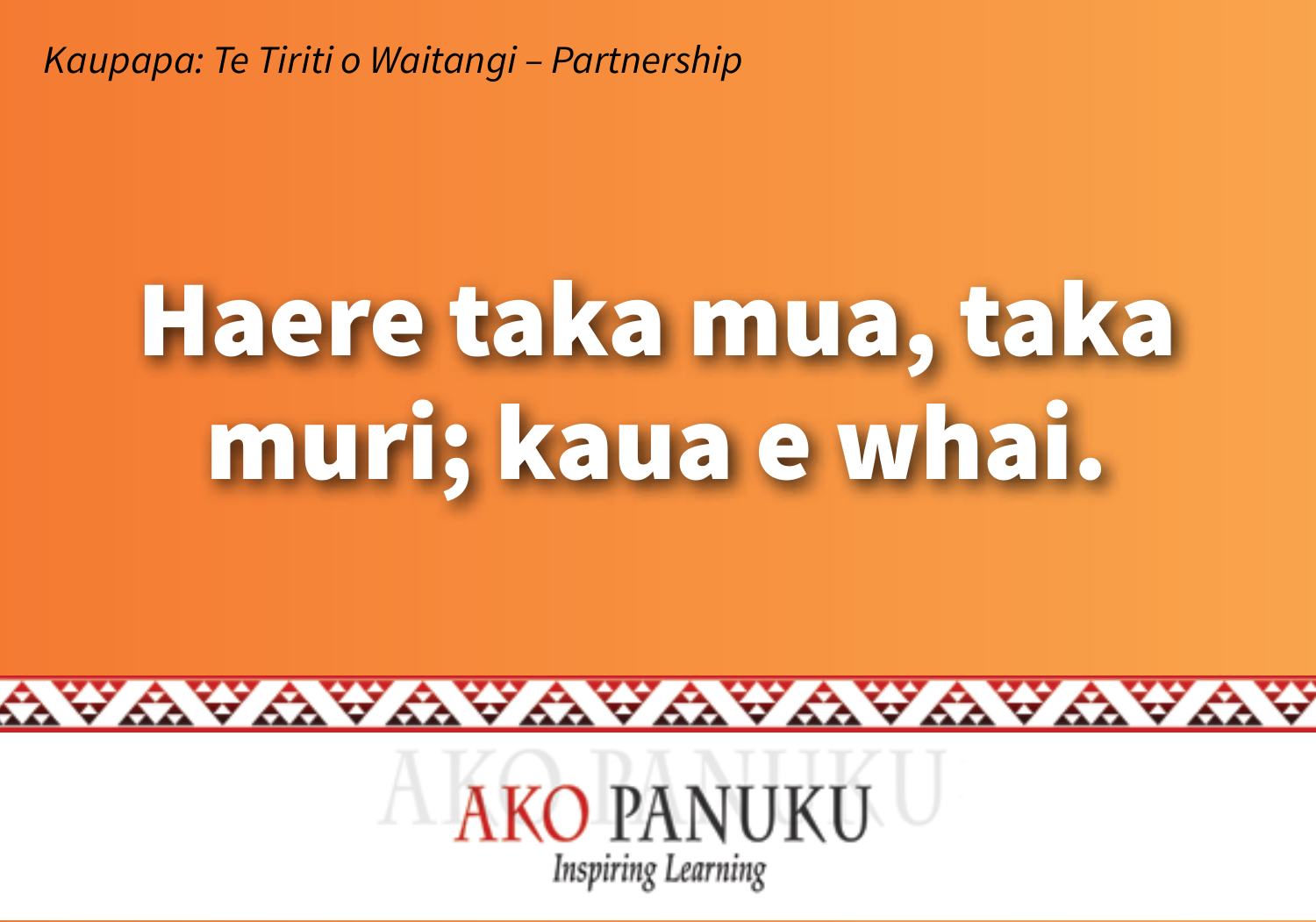# Haere taka mua, taka muri; kaua e whai.



WAYAYAYAYAYAYAYA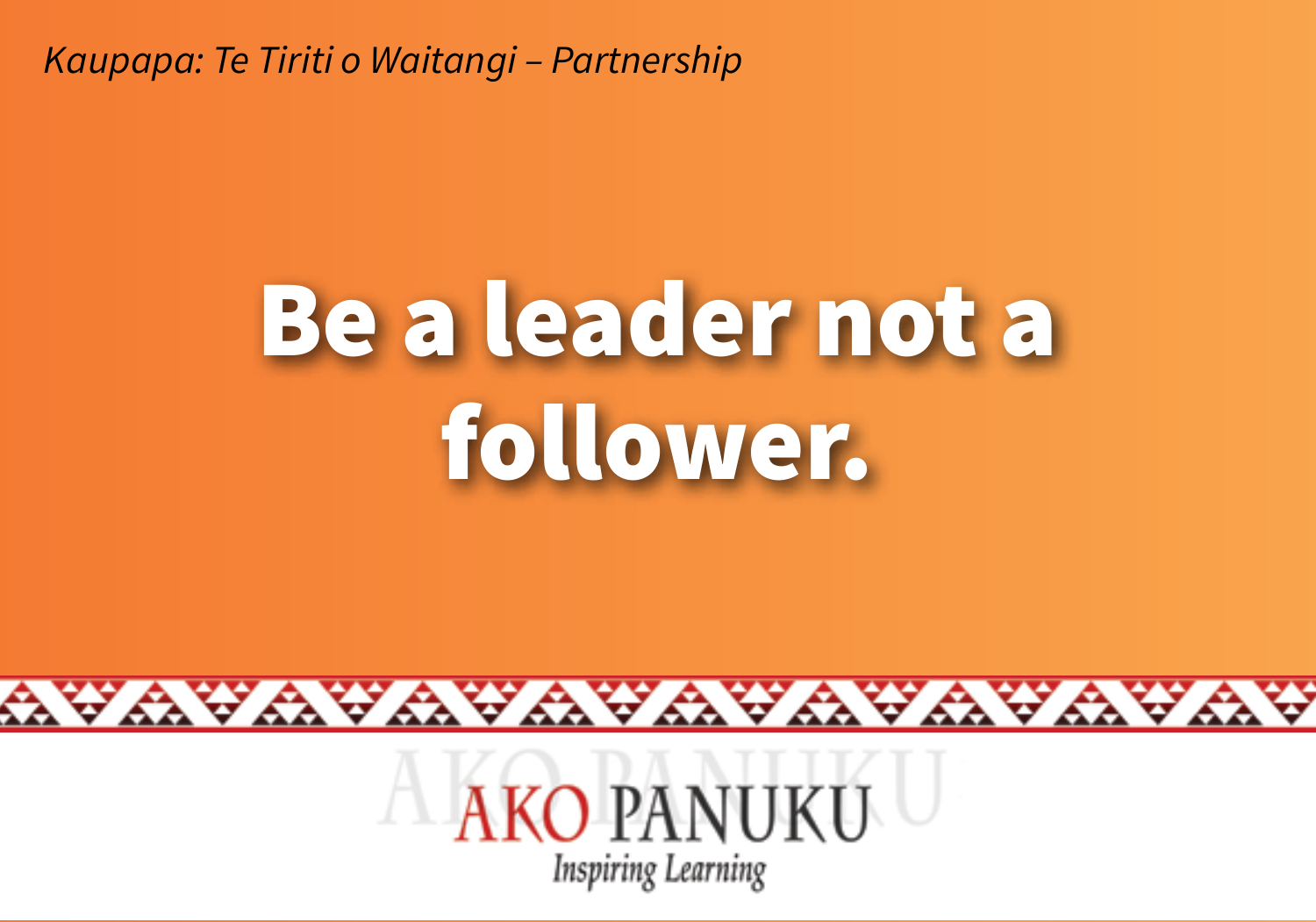#### Be a leader not a follower.



wawawawawawawawa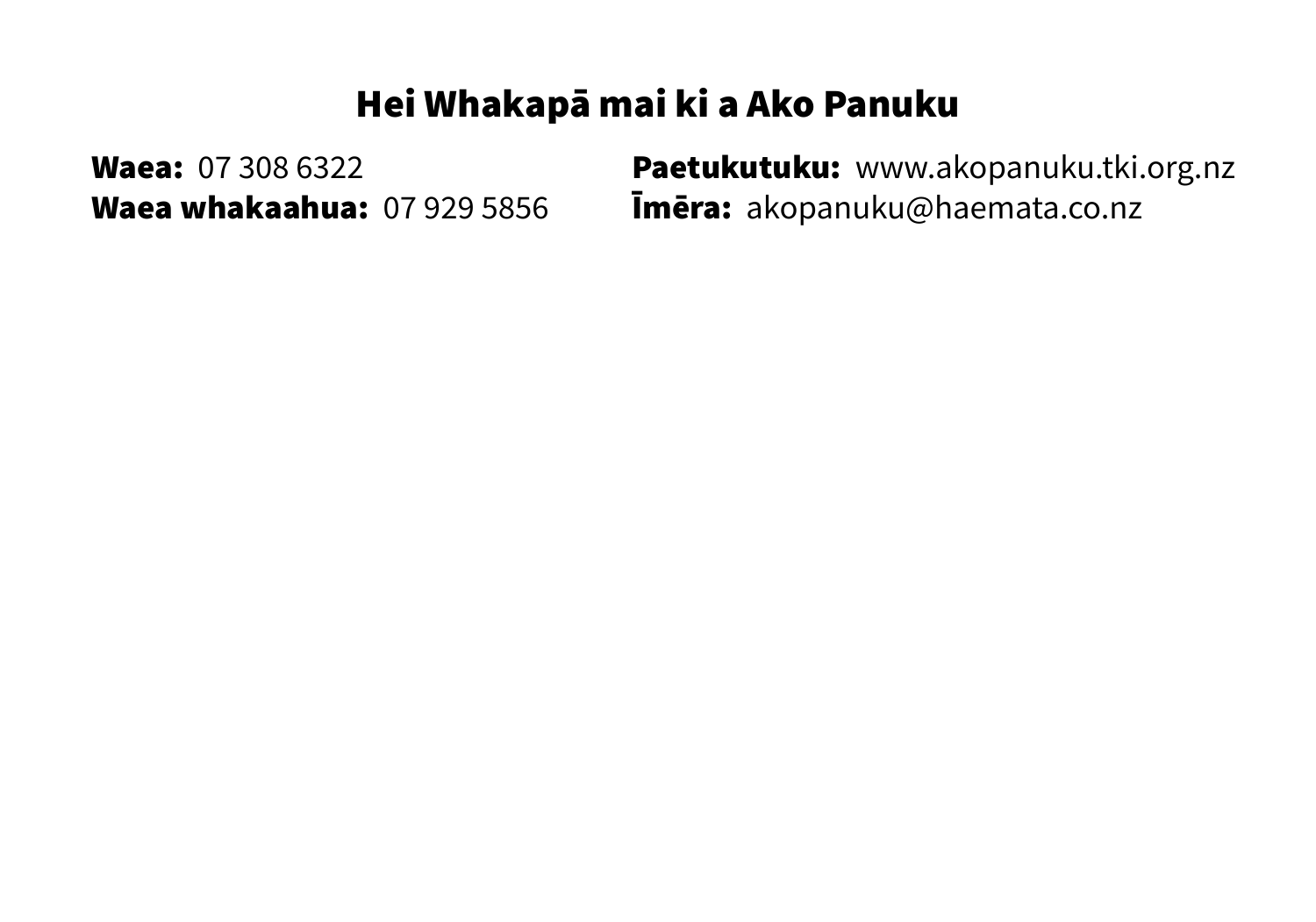#### Hei Whakapā mai ki a Ako Panuku

Waea: 07 308 6322 **Paetukutuku:** www.akopanuku.tki.org.nz Waea whakaahua: 07 929 5856 Īmēra: akopanuku@haemata.co.nz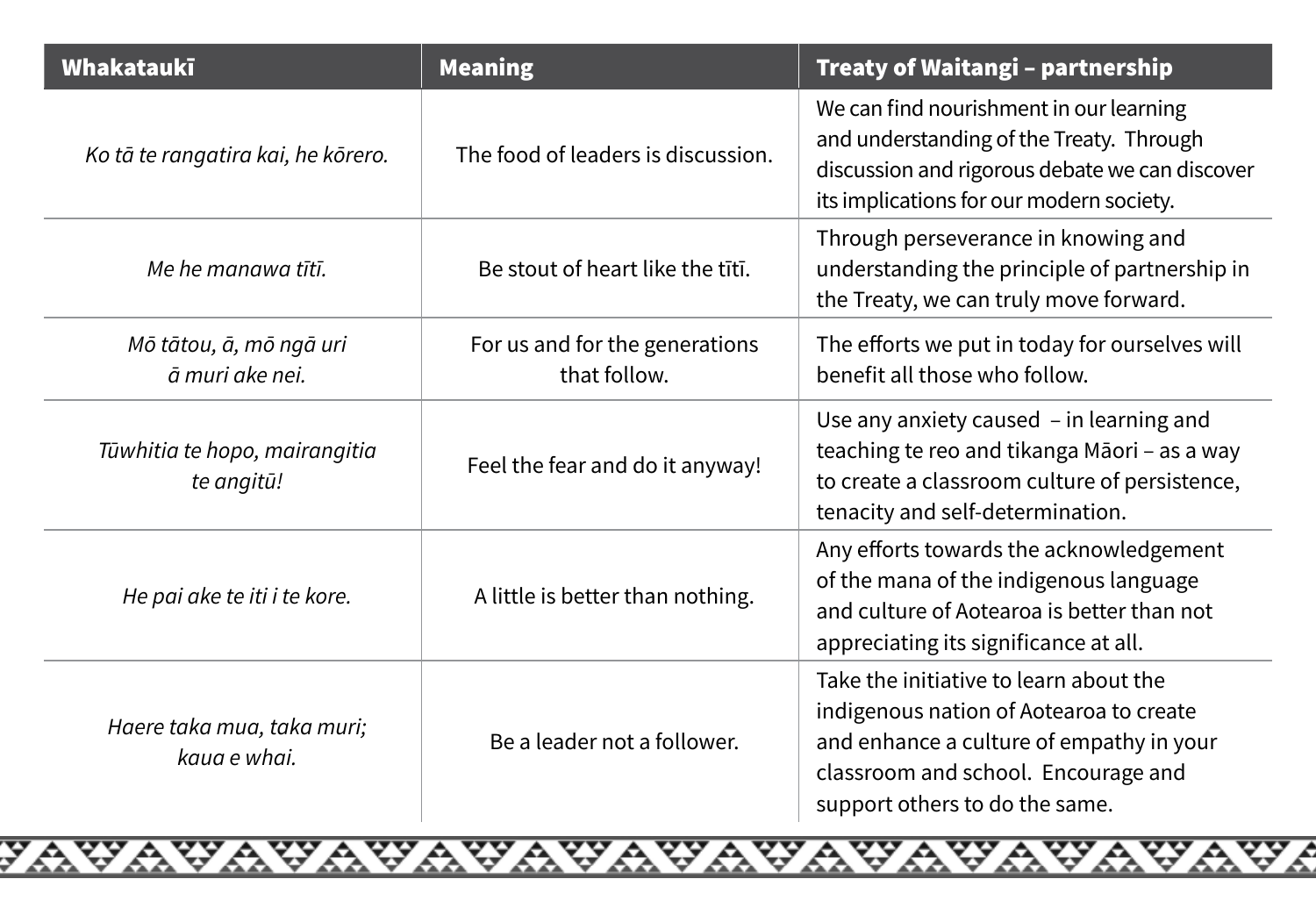| Whakataukī                                  | <b>Meaning</b>                                 | Treaty of Waitangi - partnership                                                                                                                                                                       |
|---------------------------------------------|------------------------------------------------|--------------------------------------------------------------------------------------------------------------------------------------------------------------------------------------------------------|
| Ko tā te rangatira kai, he kōrero.          | The food of leaders is discussion.             | We can find nourishment in our learning<br>and understanding of the Treaty. Through<br>discussion and rigorous debate we can discover<br>its implications for our modern society.                      |
| Me he manawa tītī.                          | Be stout of heart like the tītī.               | Through perseverance in knowing and<br>understanding the principle of partnership in<br>the Treaty, we can truly move forward.                                                                         |
| Mō tātou, ā, mō ngā uri<br>ā muri ake nei   | For us and for the generations<br>that follow. | The efforts we put in today for ourselves will<br>benefit all those who follow.                                                                                                                        |
| Tūwhitia te hopo, mairangitia<br>te angitū! | Feel the fear and do it anyway!                | Use any anxiety caused - in learning and<br>teaching te reo and tikanga Māori - as a way<br>to create a classroom culture of persistence,<br>tenacity and self-determination.                          |
| He pai ake te iti i te kore.                | A little is better than nothing.               | Any efforts towards the acknowledgement<br>of the mana of the indigenous language<br>and culture of Aotearoa is better than not<br>appreciating its significance at all.                               |
| Haere taka mua, taka muri;<br>kaua e whai.  | Be a leader not a follower.                    | Take the initiative to learn about the<br>indigenous nation of Aotearoa to create<br>and enhance a culture of empathy in your<br>classroom and school. Encourage and<br>support others to do the same. |

<del>yavavavavavavavavavavavavava</del>